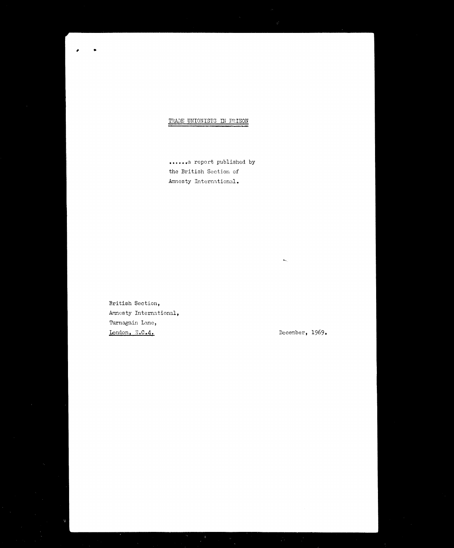

......a report published by the British Section of Amnesty International.

British Section, Amnesty International, Turnagain Lane, London, E.C.4.

December, 1969.

 $\mathbf{H}_{\mathbf{m}_{\mathbf{q}}_{\mathbf{q}}^{\prime}}$ 

 $\mathcal{F}$ 

 $\mathcal{L}(\mathcal{A})$  ,  $\mathcal{L}(\mathcal{A})$  ,  $\mathcal{L}(\mathcal{A})$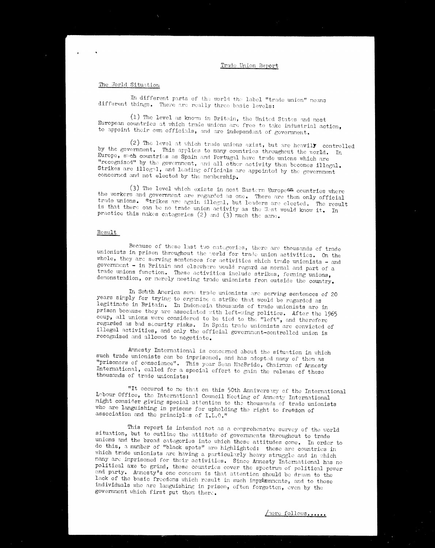# Trade Union Report

## The World Situation

 $\ddot{\phantom{1}}$ 

In different parts of the world the label "trade union" means different things. There are really three basic levels:

(1) The level as known in Britain, the United States and most European countries at which trade unions are free to take industrial action, to appoint their own officials, and are independent of government.

(2) The level at which trade unions exist, but are heavily controlled by the government. This applies to many countries throughout the world. In Europe, such countries as Spain and Portugal have trade unions which are "recognised" by the government, and all other activity then becomes illegal. Strikes are illegal, and leading officials are appointed by the government concerned and not elected by the membership.

(3) The level which exists in most Eastern European countries where the workers and government are regarded as one. There are then only official trade unions. Strikes are again illegal, but leaders are elected. The result is that there can be no trade union activity as the West would know it. In practice this makes categories (2) and (3) much the same.

## Result

Because of these last two categories, there are thousands of trade unionists in prison throughout the world for trade union activities. On the whole, they are serving sentences for activities which trade unionists  $-$  and government - in Britain and elsewhere would regard as normal and part of a trade unions function. These activities include strikes, forming unions,

demonstradion, or merely meeting trade unionists from outside the country.

In South America some trade unionists are serving sentences of 20 years simply for trying to organise a strike that would be regarded as legitimate in Britain. In Indonesia thousands of trade unionists are in prison because they are associated with left-wing politics. After the 1965 coup, all unions were considered to be tied to the "left", and therefore regarded as bad scourity risks. In Spain trade unionists are convicted of illegal activities, and only the official government-controlled union is recognised and allowed to negotiate.

Armesty International is concerned about the situation in which such trade unionists can be imprisoned, and has adopted many of them as "prisoners of conscience". This year Sean MacBride, Chairman of Armesty International, called for a special effort to gain the release of these thousands of trade unionists:

"It occured to me that on this 50th Anniversary of the International Labour Office, the International Council Meeting of Annesty International might consider giving special attention to the thousands of trade unionists who are languishing in prisons for upholding the right to freedom of

association and the principles of I.L.O."

This report is intended not as a comprehensive survey of the world situation, but to outline the attitude of governments throughout to trade unions and the broad categories into which these attitudes come. In order to do this, a number of "black spots" are highlighted: these are countries in which trade unionists are having a particularly heavy struggle and in which many are imprisoned for their activities. Since Annesty International has no political axe to grind, these countries cover the spectrum of political power and party. Amnesty's one concern is that attention should be drawn to the lack of the basic freedoms which result in such imprisonments, and to those individuals who are languishing in prison, often forgotten, oven by the government which first put then there.

more follows.....

 $\label{eq:2.1} \mathcal{L}_{\text{max}}(\mathbf{r}) = \mathcal{L}_{\text{max}}(\mathbf{r}) = \mathcal{L}_{\text{max}}(\mathbf{r}) = \mathcal{L}_{\text{max}}(\mathbf{r}) = \mathcal{L}_{\text{max}}(\mathbf{r}) = \mathcal{L}_{\text{max}}(\mathbf{r}) = \mathcal{L}_{\text{max}}(\mathbf{r}) = \mathcal{L}_{\text{max}}(\mathbf{r}) = \mathcal{L}_{\text{max}}(\mathbf{r}) = \mathcal{L}_{\text{max}}(\mathbf{r}) = \mathcal{L}_{\text{max}}(\mathbf{r}) = \mathcal{L}_{\text{max}}(\math$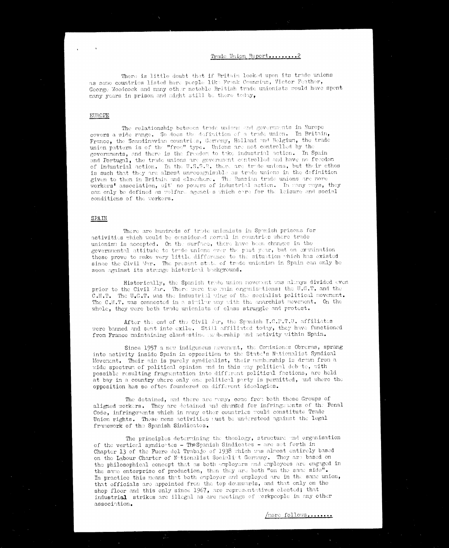## Trade Union Report.........

There is little doubt that if Britain looked upon its trade unions as some countries listed here people like Frank Counsins, Victor Feather, George Woodcock and many other notable British trade unionists would have spent many years in prison and might still be there today,

#### EUROPE

The relationship between trade unions and governments in Europe covers a wide range. So does the definition of a trade union. In Britain,

France, the Scandinavian countries, Germany, Holland and Belgium, the trade union pattern is of the "free" type. Unions are not controlled by the governments, and there is the freedom to take industrial action. In Spain and Portugal, the trade unions are government centrolled and have no freedom of industrial action. In the U.S.S.R. there are trade unions, but their ethos is such that they are almost unrecognisable as trade unions in the definition given to them in Britain and elsewhere. The Russian trade unions are more workers' association, with no powers of industrial action. In many ways, they can only be defined as welfare agencies which care for the leisure and social conditions of the workers.

#### SPAIN

There are hundreds of trade unionists in Spunish prisons for activities which would be considered normal in countries where trade unionism is accepted. On the surface, there have been changes in the governmental attitude to trade unions over the past year, but on examination these prove to make very little difference to the situation which has existed since the Civil Var. The present state of trade unionism in Spain can only be seen against its strange historical background.

Historically, the Spanish trade union novement was always divided even prior to the Civil War. There were two main organisations: the U.G.T. and the  $C.M.T.$  The  $U_{\bullet}G_{\bullet}T_{\bullet}$  was the industrial wing of the socialist political movement. The  $C.M.T.$  was connected in a similar way with the anarchist movement. On the whole, they were both trade unionists of class struggle and protest.

After the end of the Civil Jar, the Spanish I.C.P.T.U. affiliates were banned and sont into exile. Still affiliated today, they have functioned from France maintaining clandestine neubership and activity within Spain.

Since 1957 a new indigenous neverient, the Conisiones Obreras, sprang into activity inside Spain in opposition to the State's Nationalist Syndical Movement. Their ain is purely syndicalist, their membership is drawn from a wide spectrum of political opinion and in this way political debate, with possible resulting fragmentation into different political factions, are held at bay in a country where only one political party is permitted, and where the opposition has so often foundered on different ideologies.

The detained, and there are many, come from both these Groups of aligned workers. They are detained and charged for infringements of the Penal Code, infringements which in many other countries would constitute Trade Union rights. These mens activities ust be understood against the legal framework of the Spanish Sindicatos.

The principles determining the theology, structure and organisation of the vertical syndicates - The Spanish Sindicates - are set forth in Chapter 13 of the Fuero del Trabajo of 1938 which was almost entirely based on the Labour Charter of Netionalist Socialist Germany. They are based on the philosophical concept that as both employers and employees are engaged in the same enterprise of production, then they are both "on the same side". In practice this means that both employer and employed are in the same union, that officials are appointed from the top downwards, and that only on the shop floor and this only since 1967, are representatives elected; that industrial strikes are illegal as are meetings of workpeople in any other association.

/nore follows........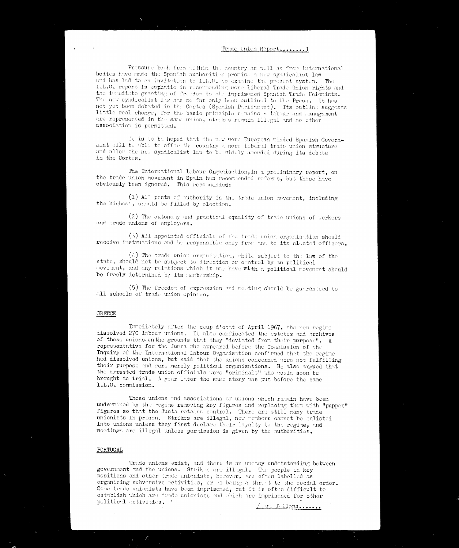## Trade Union Report........3

Pressure both from within the country as well as from international bodies have made the Spanish authorities promise a new syndicalist law and has led to an invitation to I.L.C. to extrine the present system. The I.L.O. report is emphatic in recorrending nore liberal Trade Union rights and the innedicte granting of freedom to all imprisoned Spanish Trade Unionists. The new syndicalist law has so far only been outlined to the Press. It has not yet been debated in the Cortes (Spanish Parliument). Its outline suggests little roal change, for the basic principle remains  $-$  1 abour and management are represented in the same union, strikes remain illegal and no other association is permitted.

It is to be hoped that the new more European minded Spanish Government will be able to offer the country a more liberal trade union structure and allow the new syndicalist law to be widely amended during its debate in the Cortes.

The International Labour Organisation, in a preliminary report, on the trade union movement in Spain has recommended reforms, but these have obviously been ignored. This recommended:

 $(1)$  Al<sup>-</sup> posts of authority in the trade union neverent, including the highest, should be filled by election.

(2) The autonomy and practical equality of trade unions of workers and trade unions of employers.

(3) All appointed officials of the trade union organisation should receive instructions and be responsible only from and to its elected officers.

 $(4)$  The trade union organisation, while subject to the law of the state, should not be subject to direction or control by an political novement, and any relations which it may have with a political novement should

be freely determined by its nembership.

(5) The freedom of expression and meeting should be guaranteed to all schools of trade union opinion.

## **GREECE**

Innediately after the coup d'etat of April 1967, the new regine dissolved 270 labour unions. It also confiscated the estates and archives of these unions on the grounds that they "deviated from their purpose". A representative for the Junta the appeared before the Commission of the Inquiry of the International Labour Organisation confirmed that the regine had dissolved unions, but said that the unions concerned were not fulfilling their purpose and were merely political organisations. He also argued that the arrested trade union officials were "criminals" who would soon be brought to trial. A year later the same story was put before the same I.L.O. commission.

Those unions and associations of unions which remain have been undermined by the regine removing key figures and replacing them with "puppet" figures so that the Junta retains control. There are still many trade unionists in prison. Strikes are illegal, new fembers cannot be enlisted into unions unless they first declare their layalty to the regine, and meetings are illegal unless permission is given by the authorities.

## PORTUGAL

Trade unions exist, and there is an uneasy undetstanding between government and the unions. Strikes are illegal. The people in key positions and other trade unionists, hewever, are often labelled as organising subversive activities, or as being a thret to the social order. Some trade unionists have been imprisoned, but it is often difficult to establish which are trade unionists and which are imprisoned for other political activities.

Avre follows......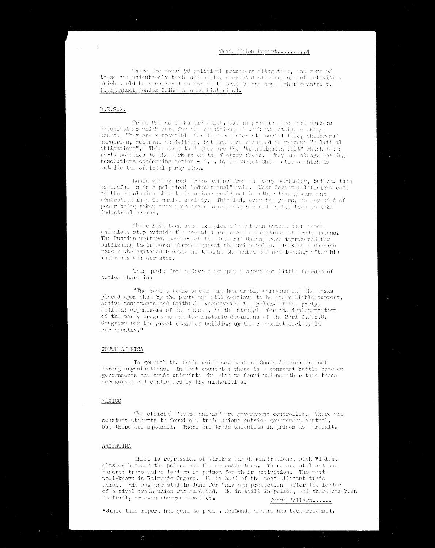## 

There are about 90 political prisoners altogether, and same of these are undeubtedly trade unionists, cenvicted of corrying out activities which would be considered as normal in Britain and some other countri s. (See Manuel Mendes Colha in case histories).

#### $U$ .  $S$ .  $S$ .  $R$ .

Trode Unions in Russia (xist, but in practice are nore workers associations thich earl for the eralitions of work as outside working. hours. They are responsible for leisure inter st, social life, childrens' nurseries, cultural activities, but are also required to present "political obligations". This wans that they are the "transmission bult" shich takes party politics to the surkers on the footory floor. They are always passing resolutions condemning action - i.e. by Comunist China etc. - which is outside the official purty line.

Lenin was grainet trude unions from the very beginning, but saw then as useful as in a political "educational" role. Mest Seviet politicians came to the conclusion that trade usions could not be other than government controlled in a Comunist society. This 10d, over the years, to any kind of power being taken any from trade unions which would anable them to take industrial action.

There have been some ixerples of that can happen then trade unionists step outside the accepted rules and definitions of trade unions. The Russian writers, nature of the Writers' Union, were imprisoned for publishing their works abroad against the union rules. In Kiev a Russian worker who agitated because he thought the union was not looking after his interests was arrested.

This quote from a Seviet norspap r show her little freeden of

action there is:

"The Soviet trade unions are honour bly corrying out the tosks placed upon then by the party and will continue to be its reliable support, active assistants and faithful executives of the policy of the party, rulitant organisors of the nasses, in the struggle for the implementation of the party programme and the historic ducisions of the 23rd  $C.F.S.U.$ Congress for the great cause of building up the communist society in our country."

#### SOUTH AF RICA

In general the trade union novement in South America are not strong organisations. In nost countries there is a constant battle betwen governments and trade unionists when tish to found unions other than these recognised and controlled by the authorities.



The official "trade unions" are government controlled. There are constant attempts to found  $n$  : trade unions outside government centrol, but these are squashed. There are trade unionists in prison as a result.

#### ARGEWTINA

There is repression of strikes and denonstrations, with  $v$ ielent clashes between the police and the denonstrators. There are at least one hundred trade union leaders in prison for their activities. The most well-known is Rainundo Ongaro. He is head of the most militant trade union. \*He was arrested in June for "his own protection" after the leader of a rival trade union was murdered. He is still in prison, and there has been no trial, or even charges levelled. /nore follows......

\*Since this report has gone to prose, Raimundo Ongaro has been released.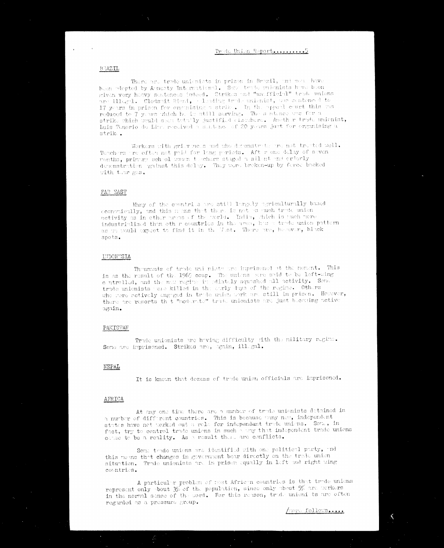### True Union Report..........5

#### **BRAZIL**

There are trade unionists in prison in Brazil, and sea have been adopted by Amenty International. Some trade unionists have been given very heavy sentences indeed. Strikes and "unefficial" trade unions are illegal. Clodenit Rieni, a leating trade unionist, we sentenced to 17 years in prison for overnising a strike. In the appeal court this was reduced to 7 years which he is still serving. The sentence was for a strike which would sawn totally justified classhere. Another trade unionist, Intis Tenerio de Litr. reclived a surtance of 20 years just for engulising a strike.

Workers with grievine s and who devonstrate are not treated well. Teachers are often not paid for languarieds. Aft r one delay of seven ronths, primary school some techers staged a silent and orderly denonstration gainst this delay. They were broken-up by ferce backed with the gas.

#### FAR EAST

Many of the countrius are still largely agriculturally based coonomically, and this mans that there is not as much trade union activity as in other areas of the world. India, thich is much nore industrialised than oth r countries in the area, has a trade union pattern as we sould expect to find it in the Lat. There we, he saver, black spots.

#### **INDON'SIA**

Theusands of trade unitative are imprisoned at the normint. This is as the result of the 1965 coup. The unions were said to be left-wing c ntrolled, and the new regime in ediately squashed all activity. Some trade unionists were killed in the early duys of the regime. Others whe were actively engaged in trade union work are still in prison. However, there are reports th t "noderate" trade unionists are just becaing active  $argain_{\bullet}$ 

#### PAKISTAN

Trule unionists are having difficulty sith the military regime. Sono are inprisoned. Strikes are, again, illegal.

#### NEPAL

It is known that dezens of trude union officials are imprisoned.



At any one time there are a number of trade unionists detained in a nurber of different countries. This is because way new, independent states have not worked out a role for independent trade unions. Som, in fact, try to centrel trade unions in such a way that independent trade unions canne to be a reality. As a result there are conflicts.

Some trade unions are identified with one political party, and this neans that changes in government bear directly on the trade union situation. Trade unionists are in prison equally in left and right wing countries.

A particular problem of rest African countries is that trade unions represent only pout  $3\%$  of the population, since only poput  $5\%$  are nerkers in the normal sense of the word. For this reason, trude unioni ts are often regurded as a pressure group.

nord follows....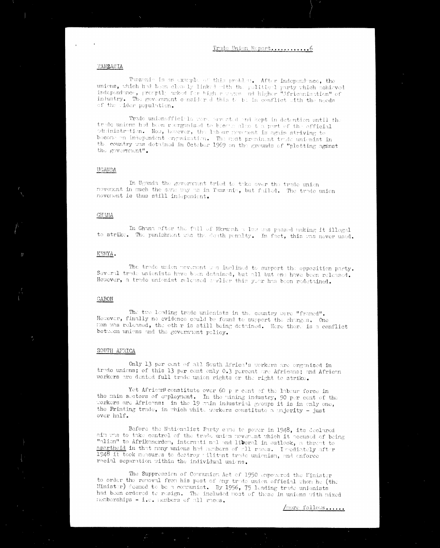## Trule Union Report.............6

in geh

## TANZANIA

 $\mathcal{O}(\mathcal{N})$ 

Tunzanie is an examle of this problem. After independence, the unions, which had been clearly linked with the political party which achieved independance, preaptly asked for higher usges and higher "Maricanisation" of industry. The government considered this teach in conflict with the needs of the sider population.

Trade unionofficials were are sted and kept in detention until the tredo unions had been reorganised to become also the part of the official administration. Now, however, the labour povement is again striving to become en independent ergenisation. The rest preminent trade unionist in the country was detained in October 1969 on the grounds of "plotting against the government!.

## UGANDA

In Uganda the government tried to take over the trade union nevenent in much the same way us in Tunzenia, but failed. The trade union novenent is thus still independent.

#### **GHANA**

In Ghana after the fall of Nkrumh a law was passed making it illogal to strike. The punishment was the douth penalty. In fact, this was never used.

#### KENYA.

The trade union neveriont and inclined to support the opposition party. Several trade unionists have been detained, but all but one have been released. However, a trade unionist released earlier this year has been redetained.

## **GABON**

 $\sim 3k_{\rm max}$ 

The two leading trade unionists in the country were "framed". However, finally no evidence could be found to support the charges. One nan was released, the other is still being detained. Here there is a conflict between unions and the government policy.

#### SOUTH AFRICA

Only 13 per cent of all South Africa's workers are organised in trade unions; of this 13 per cont only 0.3 percent are Africans; and African workers are denied full trade union rights or the right to strike.

Yet Africar constitute over 60 p r cent of the labour force in the main sectors of employment. In the mining industry, 90 per cent of the Workers are Africans: in the 19 main industrial groups it is in enly one, the Printing trade, in which white workers constitute a majority - just

over half.

Before the Mationalist Party came to power in 1948, its declared ain was to take control of the trade union nevenent which it accused of being "alien" to Afrikanerden, international and liberal in outlook, a threat to apartheid in that nany unions had nonbers of all races. I rediately after 1948 it took measures to destroy wilitant trade unionism, and enforce racial separation within the individual unions.

The Suppression of Communism Act of 1950 empowered the Minister to order the renoval from his post of any trade union official when he (the Minister) deemed to be a communist. By 1956, 75 leading trade unionists had been ordered to resign. The included post of these in unions with mixed nemberships  $-1$ . Then bers of all races.

/nore follows.....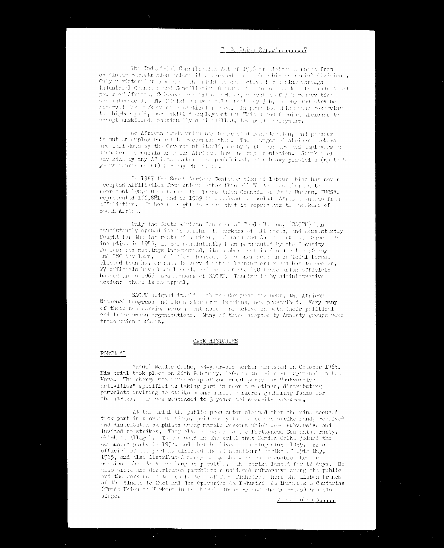## Trulo Union Report.......7

The Industrial Conciliation Act of 1956 prohibited a union from obtaining registration unless it a parated its and rship on recial divisions. Only register dunions have the right to estimative bereining through Industrial Councils and Conciliation Boords. To further maken the industrial power of African, Columned and Asian reckans, a system of job reservation was introduced. The Hinist ranged ealso that any job, are my industry be reserved for prkers of a particular me... In practice this neans reserving the higher paid, nore skilled employment for Thites and foreing Africans to accept unskilled, ocasionally semi-skilled, lev paid employment.

We African trust union may be granted registration, and pressure

is put on enployers not te recognise them. The surges of African sorkers are laid down by the Government itself, or by Thite workers and employers on Industrial Councils on which Afrieths have no representation, Strikes of any kind by any African sorkers are prohibited, sith heavy penalties (up to 5) yeurs imprisonment) for my sho do so.

In 1967 the South African Confederation of Labour thich has never accepted affiliation from unions other than all White ones claimed to represent 190,000 perbers: the Trode Union Council of Trade Unions, TUCSA, represented 166,881, and in 1969 it resolved to exclude African unions from affilistion. It has no right to claim that it represents the workers of South Africa.

Only the South African Con ress of Trade Unions, (SACTU) has consistently opened its membership to workers of all reces, and censistently fought for the interests of African, Coleared and Asian workers. Since its inception in 1955, it has consistently been parsecuted by the Security Police: its neetings intermyted, its neabors detained under the 90 day and 180 day laws, its leaders banned. We seemer dees an official become elected than he, or she, is sorved with a banning order and has to resign. 27 officials have been banned, and soot of the 150 trade union officials

banned up to 1966 were nembers of SACTU. Banning is by administrative action: there is no appoal.

SACTU aligned its 1f with the Congress povenent, the African National Congress and its sister erganisations, new proseribed. Very many of these now serving prison sentences were active in both their political and trade union organizations. Many of those adopted by Armesty groups were trade union members.

#### CASE HISTORIES

## PORTUGAL

Manuel Mendes Colhe, 33-year-old worker arrested in October 1965. His trial took place on 24th February, 1966 in the Plenarie Criminal da Boa Hora. The charge was acubership of communist party and "subversive activities" specified as taking part in secret meetings, distributing pamphlets inviting to strike unong marble werkers, gathering funds for the strike. He was sentenced to 3 years and security measures.

At the trial the public prosecutor claimed that the nine accused took part in secret metings, paid money into a cornon strike fund, received and distributed pamphlets weng marble werkers which were subversive and invited to strikes. They also belon ed to the Portuguese Comunist Party, which is illegal. It was said in the trial that Mendes Colhe joined the corrunist party in 1958, and that he lived in hiding since 1959. As an official of the part he directed the strucutters' strike of 19th May, 1965, and also distributed mney arong the workers to enable them to continue the strike as long as possible. The strike lasted for 12 days. He also wrete and distributed pamphlets considered subversive anong the public and the workers in the small town of Pere Pinheire, there the Lisbon branch of the Sindicato Macional dos Operarios de Industrio de Marmeres e Cantarias (Trude Union of Jorkers in the Uarble Industry and the Quarries) has its  $size.$ nore follows....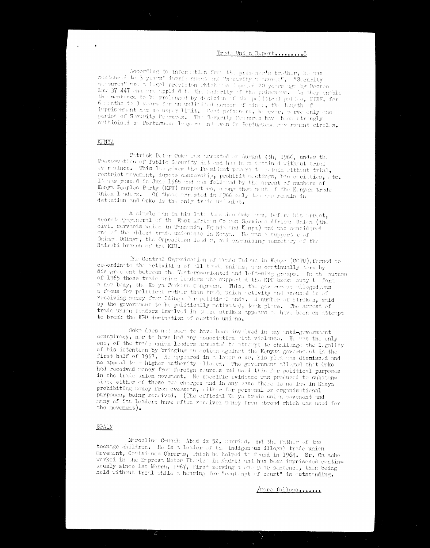## Trylo Uni n Report.........8

According to information from the prisoner's brother, he was sentenced to 3 years' inprimement and "security a asures". "Security measures" are a legal prevision which are imposed 20 years ago by Decree Law 37 447 and are applied to the mejority of the prisonanc. As they enable the sentence to be prolonged by decision of the political police, FIDE, for 6 senths to 3 years for m unlimited number of times, the length of inprisonment has no upper limit. Most prisoners, however, serve only one period of Security Messures. The Security Messures have been strongly criticised by Portuguese lawyers and wen in Portuguese gave mucht circles.

KEMYA

Patrick Peter Coke was arrested on August 4th, 1966, under the Preservation of Public Security Act and has been detained without trial ever since. This law gives the President powers to detain without trial, restrict movement, impose censership, prohibit mectings, ban secieties, etc. It was passed in June 1966 and was followed by the arrest of numbers of Kenya Peoples Party (KPU) supperters, areng then mest of the Kenyan trade union 1 where. Of these arrested in 1966 enly two new remain in detention and Ooko is the only trade unionist.

A single wen in his late tuenties Ooke wa, before his arrest, secretary-general of the East African Common Services African Union (the civil servents union in Tenzenie, Ugenda and Konya) and was considered on of the ublest trode unionists in Konya. He was a support reaf-Ogings Odings, the Opposition leading and organising secretary of the Nairobi branch of the KPU.

The Central Organization of Trade Unions in Kenya (COTU), formed to co-ordinate the activities of 11 trade unions, was continually term by disagreement between the Testern-oriented and left-wing groups. In the autumn of 1965 those trade union leaders the supported the KPU broke anay to form a now body, the Ke ya Workers Congress. This, the government alleged, was a focus for political rather than trode union retivity and accused it of receiving money from Odingt for political ends. A number of strikes, said by the government to be politically motivated, took place. The arrest of tride union leaders involved in these strikes appears to have been an attempt to break the KPU domination of cortain unions.

Ooke does not seen to have been invalved in any unti-government conspiracy, nor to have had any association tith violence. He was the only one, of the trade union leaders arrested to attempt to challenge the legality of his detention by bringing on action against the Kenyan government in the first half of 1967. He appeared in a lover caur, his plue was dismissed and no appeal to a higher authority allowed. The gevernment alleged that Ooko had received nemey from foreign sources and used this for political purposes in the trade union novement. No specific evidence was produced to substantiate either of these two charges and in any case there is no law in Kenya prohibiting noney from oversens, wither for personal or erganisational purposes, being received. (The official Ke ya trude union movement and nany of its leaders have often received wrapy from abroad which was used for the movement).

SPAIN

Marceline Conach: Abad is 52, surried, and the father of two teenage children. He is a leader of the indigenous illegal trade union movement, Comisiones Obreras, which he helped to found in 1964. Sr. Ca acho worked in the Emprest Motor Iberict in Madrid and has been imprisoned continuously since lst March, 1967, first serving a one year sentence, then being held without trial while a hearing for "centerpt of court" is outstanding.



 $\mathcal{R}^{\text{max}}_{\text{max}}$  . The  $\mathcal{R}^{\text{max}}_{\text{max}}$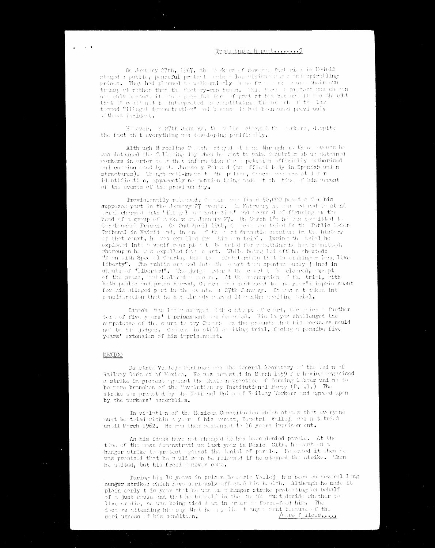## Trule Union Report........?

On January 27th, 1967, the markers of several factories in Eachtid stoged a public, paceful protect eminet los vinime vas a out spirulling pries. They had planed to wak quistly how from the east their war transport rather than the factory-run buses. This ferm of pretest was chosen not anly because it was perceful for af protest but because it was thought that it wuld not be interpreted as constituting the broch of the law terad "illegal deractration" ad boam. It had been used proviously without incident.

Hever, in 27th January, the police charged the rankers, despite the fact that everything was developing pacifically.

Alth ugh Merceline Couch at yed at home through ut then events he was detained the following day show he sant to make inquiries ob ut detained workers in order to gether information for a potition officially authorised and countssiened by the Jurido y Enland (an efficial bedy in Spanish union structures). The ugh well-known  $t$  the police, Couche was arrested for identification, apparently no mention being rede of the time of his acrest of the events of the previous day.

Provisionally related, Carech are fined 50,000 pasetes for his supposed part in the Jenuary 27 avents. In Esbruary he are ardered to stand trial charged http "illegal des notration" and accused of figuring as the head of a group of a rkers on January 27. On Narch 1<sup>6</sup>t ho was consitted to Carabunchel Prison. On 2nd April 1968,  $C =$  obverted that the Public Order Tribunal in Madrid and, in one of the set dramatic sessions in the history of that eart, he was expelled from his an trial. During the trial he exploded into a vecific and plan to be thind for stacthing he had countted, whereup n he w s expelled free, c urt. While being led off he shouted: "Dem with Spec al Courts, this is a Dicketership that is sinking  $-$  lang live liberty". The public crossed interth what term spentomentsly jeined in sh uts of "liberted". The judge returned the court to be cleared, except

of the press, and declared a second. At the resumption of the trial, with both public and press barred, Catch was senteneed to the year's imprisonment for his alloged part in the events of 27th January. It was not taken into consideration that he had already corved 14 waths araiting trial.

Canneh was let recharged with earts for the ster shich a further ter of five y ars' imprisonment was dearded. His lawer challenged the competence of the court to try Coroch on the grounds that his accusars could not be his judges. Carache is still arriting trial, fecing a possibe five years' extension of his imprisonant.

#### MEXICO

and a structure

Demotric Valleje Martinem was the General Secretary of the Union of Ruilwy Workers of Nexico. He was urasted in March 1959 for having organised a strike in protest against the Moxiem practice. I foreing 1 dour uni ne to be mere branches of the Novelution by Institutional Party  $(\Gamma, \Gamma, \Gamma)$ . The strike was proneted by the National Union of Railway Workers and agreed upon by the workers' ussemblies.

In vieletion of the Mexican Constitution which states that everyone must be tried within a year of his arrest, Denotria Vallej. was not tried until Morch 1962. He was then sentenced to 16 years imprison ont.

As his ideas have not changed he has been denied parole. At the time of the mass demnstrations last year in Mexic. City, he went on a hunger strike to protest guinst the denial of parale. He ended it when he was premised that he wald seen be released if he stopped the strike. Then he waited, but his freedst never cale.

During his 10 years in prison Deastric Vallej has been on several long hunger strikes which have seriously affected his health. Although he made it plain early t is year that he was on a hunger strike protesting on behalf of a just cause and that he hideelf is the neah and decide whether to live or die, he was being tied dam in erder to force-feed him. The doctors attending him say that he any die at any ment because of the 'n pre f: 11ous, ... seri usness of his condition.